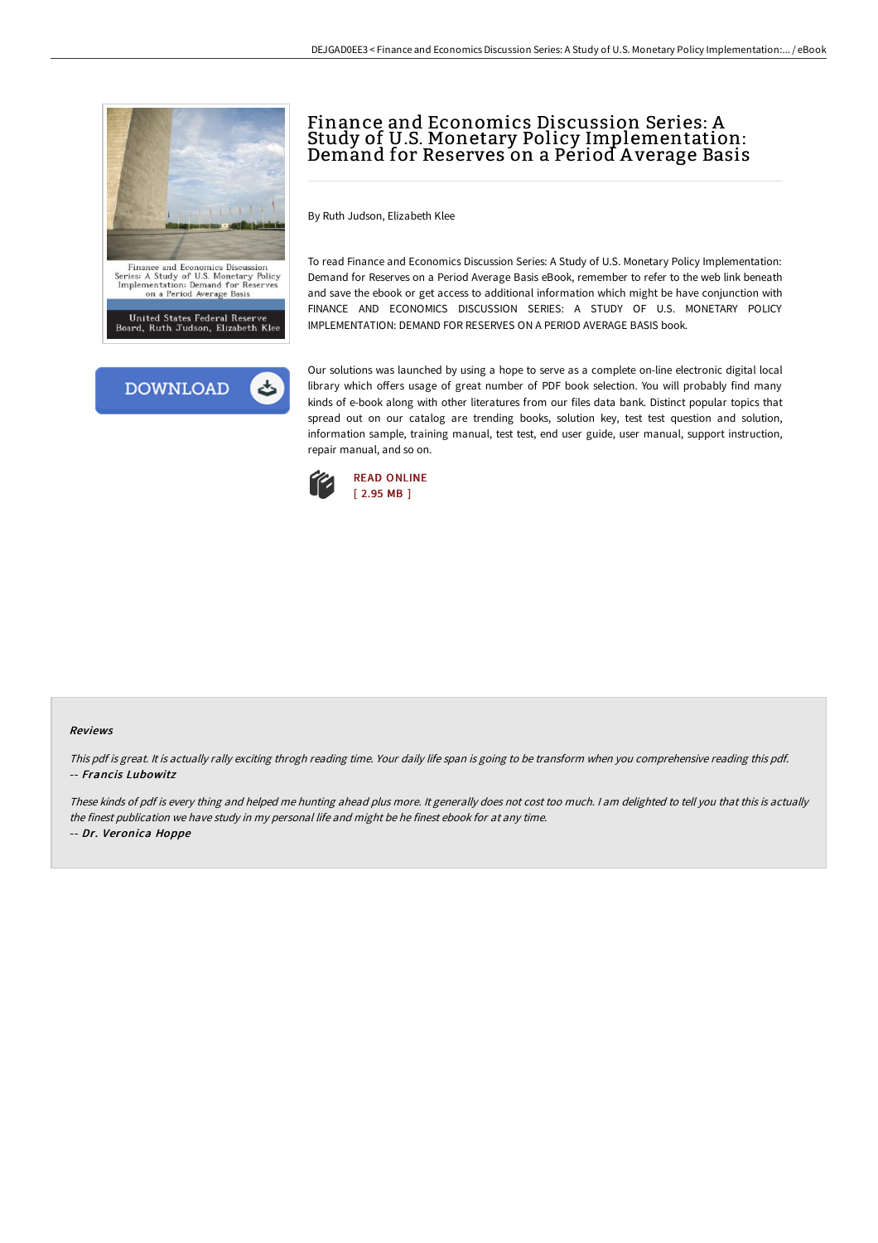



# Finance and Economics Discussion Series: A Study of U.S. Monetary Policy Implementation: Demand for Reserves on a Périod Average Basis

By Ruth Judson, Elizabeth Klee

To read Finance and Economics Discussion Series: A Study of U.S. Monetary Policy Implementation: Demand for Reserves on a Period Average Basis eBook, remember to refer to the web link beneath and save the ebook or get access to additional information which might be have conjunction with FINANCE AND ECONOMICS DISCUSSION SERIES: A STUDY OF U.S. MONETARY POLICY IMPLEMENTATION: DEMAND FOR RESERVES ON A PERIOD AVERAGE BASIS book.

Our solutions was launched by using a hope to serve as a complete on-line electronic digital local library which offers usage of great number of PDF book selection. You will probably find many kinds of e-book along with other literatures from our files data bank. Distinct popular topics that spread out on our catalog are trending books, solution key, test test question and solution, information sample, training manual, test test, end user guide, user manual, support instruction, repair manual, and so on.



#### Reviews

This pdf is great. It is actually rally exciting throgh reading time. Your daily life span is going to be transform when you comprehensive reading this pdf. -- Francis Lubowitz

These kinds of pdf is every thing and helped me hunting ahead plus more. It generally does not cost too much. <sup>I</sup> am delighted to tell you that this is actually the finest publication we have study in my personal life and might be he finest ebook for at any time. -- Dr. Veronica Hoppe